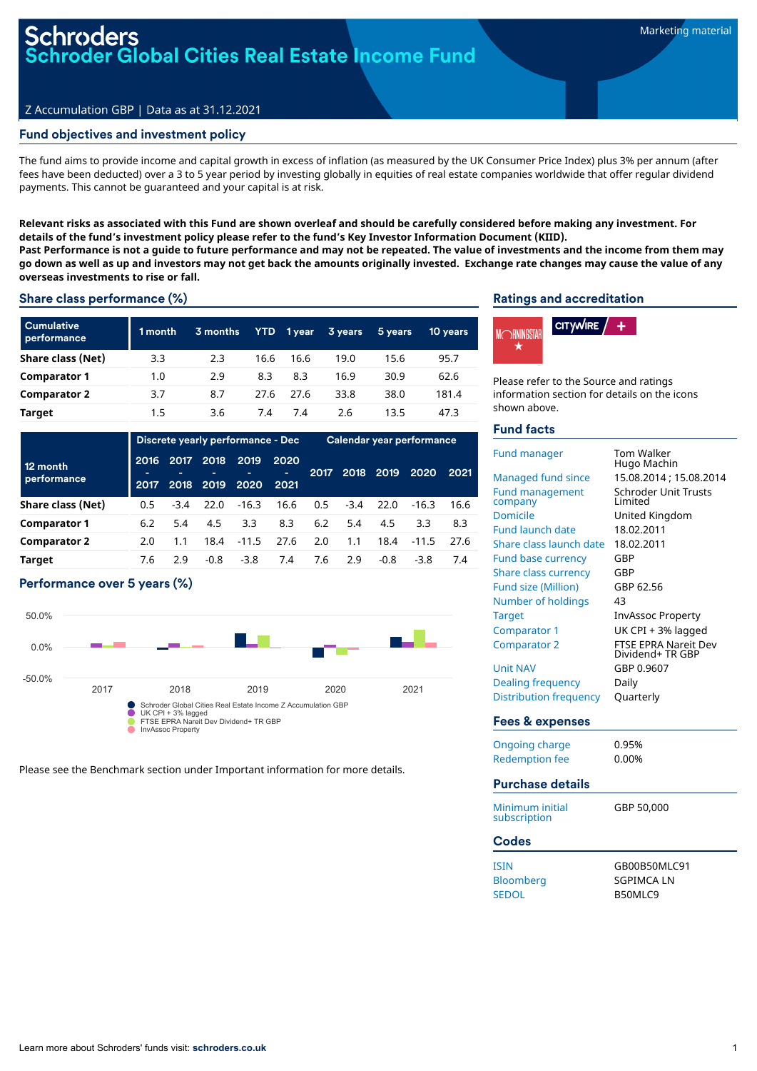## **Oder Global Cities Real Estate Income Fund**

#### Z Accumulation GBP | Data as at 31.12.2021

#### Fund objectives and investment policy

The fund aims to provide income and capital growth in excess of inflation (as measured by the UK Consumer Price Index) plus 3% per annum (after fees have been deducted) over a 3 to 5 year period by investing globally in equities of real estate companies worldwide that offer regular dividend payments. This cannot be guaranteed and your capital is at risk.

Relevant risks as associated with this Fund are shown overleaf and should be carefully considered before making any investment. For **details of the fund's investment policy please refer to the fund's Key Investor Information Document (KIID).** Past Performance is not a guide to future performance and may not be repeated. The value of investments and the income from them may go down as well as up and investors may not get back the amounts originally invested. Exchange rate changes may cause the value of any **overseas investments to rise or fall.**

Share class performance (%)

| <b>Cumulative</b><br>performance | 1 month | 3 months | YTD. | 1 year | 3 years | 5 years | 10 years |
|----------------------------------|---------|----------|------|--------|---------|---------|----------|
| Share class (Net)                | 3.3     | 2.3      | 16.6 | 16.6   | 19.0    | 15.6    | 95.7     |
| <b>Comparator 1</b>              | 1.0     | 2.9      | 8.3  | 8.3    | 16.9    | 30.9    | 62.6     |
| <b>Comparator 2</b>              | 3.7     | 8.7      | 27.6 | 27.6   | 33.8    | 38.0    | 181.4    |
| Target                           | 1.5     | 3.6      | 7.4  | 7.4    | 2.6     | 13.5    | 47.3     |

| Discrete yearly performance - Dec |              |              | Calendar year performance |              |                    |      |        |        |         |      |
|-----------------------------------|--------------|--------------|---------------------------|--------------|--------------------|------|--------|--------|---------|------|
| 12 month<br>performance           | 2016<br>2017 | 2017<br>2018 | 2018<br>2019              | 2019<br>2020 | 2020<br>÷.<br>2021 | 2017 | 2018   | 2019   | 2020    | 2021 |
| Share class (Net)                 | 0.5          | $-3.4$       | 22.0                      | $-16.3$      | 16.6               | 0.5  | $-3.4$ | 22.0   | $-16.3$ | 16.6 |
| <b>Comparator 1</b>               | 6.2          | 5.4          | 4.5                       | 3.3          | 8.3                | 6.2  | 5.4    | 4.5    | 3.3     | 8.3  |
| <b>Comparator 2</b>               | 2.0          | 1.1          | 18.4                      | $-11.5$      | 27.6               | 2.0  | 1.1    | 18.4   | $-11.5$ | 27.6 |
| <b>Target</b>                     | 7.6          | 2.9          | $-0.8$                    | $-3.8$       | 7.4                | 7.6  | 2.9    | $-0.8$ | $-3.8$  | 7.4  |

#### Performance over 5 years (%)



Please see the Benchmark section under Important information for more details.

#### Ratings and accreditation



Please refer to the Source and ratings information section for details on the icons shown above.

#### Fund facts

| <b>Fund manager</b><br><b>Managed fund since</b><br><b>Fund management</b><br>company | Tom Walker<br>Hugo Machin<br>15.08.2014; 15.08.2014<br><b>Schroder Unit Trusts</b><br>I imited |
|---------------------------------------------------------------------------------------|------------------------------------------------------------------------------------------------|
| Domicile                                                                              | United Kingdom                                                                                 |
| <b>Fund launch date</b>                                                               | 18.02.2011                                                                                     |
| Share class launch date                                                               | 18.02.2011                                                                                     |
| <b>Fund base currency</b>                                                             | GBP                                                                                            |
| Share class currency                                                                  | GBP                                                                                            |
| <b>Fund size (Million)</b>                                                            | GBP 62.56                                                                                      |
| Number of holdings                                                                    | 43                                                                                             |
| <b>Target</b>                                                                         | <b>InvAssoc Property</b>                                                                       |
| Comparator 1                                                                          | UK CPI + 3% lagged                                                                             |
| <b>Comparator 2</b>                                                                   | <b>FTSE EPRA Nareit Dev</b><br>Dividend+ TR GBP                                                |
| <b>Unit NAV</b>                                                                       | GBP 0.9607                                                                                     |
| Dealing frequency                                                                     | Daily                                                                                          |
| <b>Distribution frequency</b>                                                         | Quarterly                                                                                      |
| Fees & expenses                                                                       |                                                                                                |
| Ongoing charge                                                                        | 0.95%                                                                                          |
| <b>Redemption fee</b>                                                                 | 0.00%                                                                                          |
| <b>Purchase details</b>                                                               |                                                                                                |
| Minimum initial<br>subscription                                                       | GBP 50.000                                                                                     |
| Codes                                                                                 |                                                                                                |

| <b>ISIN</b>      | GB00B50MLC91 |
|------------------|--------------|
| <b>Bloomberg</b> | SGPIMCA LN   |
| <b>SEDOL</b>     | B50MLC9      |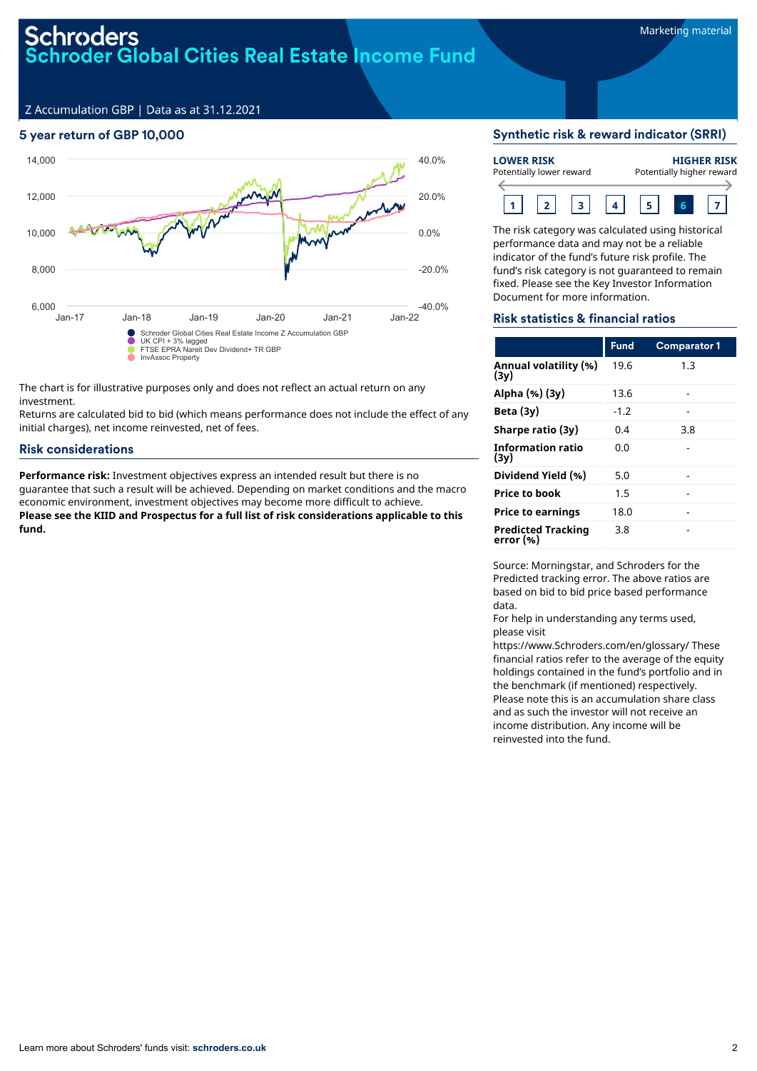### Schroders **Schroder Global Cities Real Estate Income Fund**

Z Accumulation GBP | Data as at 31.12.2021

#### 5 year return of GBP 10,000



The chart is for illustrative purposes only and does not reflect an actual return on any investment.

Returns are calculated bid to bid (which means performance does not include the effect of any initial charges), net income reinvested, net of fees.

#### Risk considerations

**Performance risk:** Investment objectives express an intended result but there is no guarantee that such a result will be achieved. Depending on market conditions and the macro economic environment, investment objectives may become more difficult to achieve. **Please see the KIID and Prospectus for a full list of risk considerations applicable to this fund.**

#### Synthetic risk & reward indicator (SRRI)

| <b>LOWER RISK</b> | Potentially lower reward | <b>HIGHER RISK</b><br>Potentially higher reward |  |  |  |  |
|-------------------|--------------------------|-------------------------------------------------|--|--|--|--|
|                   |                          |                                                 |  |  |  |  |

The risk category was calculated using historical performance data and may not be a reliable indicator of the fund's future risk profile. The fund's risk category is not guaranteed to remain fixed. Please see the Key Investor Information Document for more information.

#### Risk statistics & financial ratios

|                                        | <b>Fund</b> | <b>Comparator 1</b> |
|----------------------------------------|-------------|---------------------|
| Annual volatility (%)<br>(3y)          | 19.6        | 1.3                 |
| Alpha (%) (3y)                         | 13.6        |                     |
| Beta $(3y)$                            | $-1.2$      |                     |
| Sharpe ratio (3y)                      | 0.4         | 3.8                 |
| <b>Information ratio</b><br>(3v)       | 0.0         |                     |
| Dividend Yield (%)                     | 5.0         |                     |
| <b>Price to book</b>                   | 1.5         |                     |
| <b>Price to earnings</b>               | 18.0        |                     |
| <b>Predicted Tracking</b><br>error (%) | 3.8         |                     |

Source: Morningstar, and Schroders for the Predicted tracking error. The above ratios are based on bid to bid price based performance data.

For help in understanding any terms used, please visit

https://www.Schroders.com/en/glossary/ These financial ratios refer to the average of the equity holdings contained in the fund's portfolio and in the benchmark (if mentioned) respectively. Please note this is an accumulation share class and as such the investor will not receive an income distribution. Any income will be reinvested into the fund.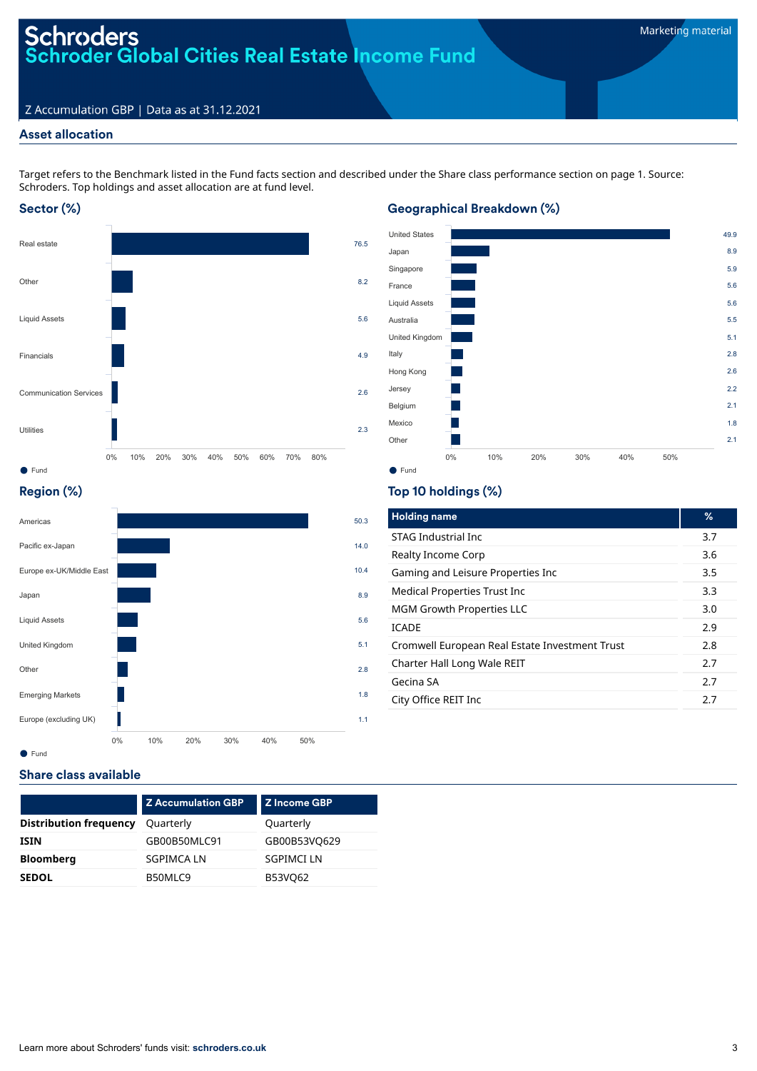# Schroders<br>Schroder Global Cities Real Estate Income Fund

#### Z Accumulation GBP | Data as at 31.12.2021

#### Asset allocation

Target refers to the Benchmark listed in the Fund facts section and described under the Share class performance section on page 1. Source: Schroders. Top holdings and asset allocation are at fund level.

#### Sector (%)



#### Geographical Breakdown (%)



#### Region (%)



#### Top 10 holdings (%)

| <b>Holding name</b>                            | ℅   |
|------------------------------------------------|-----|
| STAG Industrial Inc.                           | 3.7 |
| Realty Income Corp                             | 3.6 |
| Gaming and Leisure Properties Inc              | 3.5 |
| Medical Properties Trust Inc                   | 3.3 |
| <b>MGM Growth Properties LLC</b>               | 3.0 |
| <b>ICADE</b>                                   | 2.9 |
| Cromwell European Real Estate Investment Trust | 2.8 |
| Charter Hall Long Wale REIT                    | 2.7 |
| Gecina SA                                      | 2.7 |
| City Office REIT Inc                           | 2.7 |
|                                                |     |

#### Share class available

|                               | <b>Z Accumulation GBP</b> | <b>Z</b> Income GBP |
|-------------------------------|---------------------------|---------------------|
| <b>Distribution frequency</b> | Quarterly                 | Quarterly           |
| <b>ISIN</b>                   | GB00B50MLC91              | GB00B53VQ629        |
| <b>Bloomberg</b>              | <b>SGPIMCALN</b>          | <b>SGPIMCI LN</b>   |
| <b>SEDOL</b>                  | B50MLC9                   | B53VQ62             |